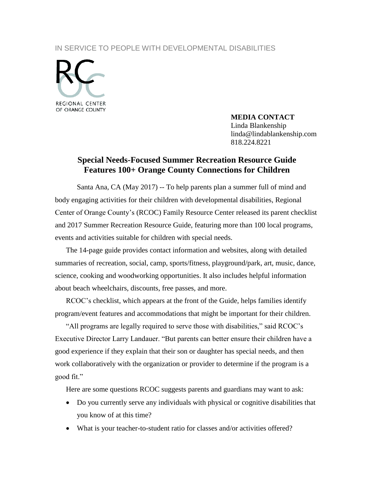## IN SERVICE TO PEOPLE WITH DEVELOPMENTAL DISABILITIES



## **MEDIA CONTACT**

Linda Blankenship linda@lindablankenship.com 818.224.8221

## **Special Needs-Focused Summer Recreation Resource Guide Features 100+ Orange County Connections for Children**

Santa Ana, CA (May 2017) -- To help parents plan a summer full of mind and body engaging activities for their children with developmental disabilities, Regional Center of Orange County's (RCOC) Family Resource Center released its parent checklist and 2017 Summer Recreation Resource Guide, featuring more than 100 local programs, events and activities suitable for children with special needs.

The 14-page guide provides contact information and websites, along with detailed summaries of recreation, social, camp, sports/fitness, playground/park, art, music, dance, science, cooking and woodworking opportunities. It also includes helpful information about beach wheelchairs, discounts, free passes, and more.

RCOC's checklist, which appears at the front of the Guide, helps families identify program/event features and accommodations that might be important for their children.

"All programs are legally required to serve those with disabilities," said RCOC's Executive Director Larry Landauer. "But parents can better ensure their children have a good experience if they explain that their son or daughter has special needs, and then work collaboratively with the organization or provider to determine if the program is a good fit."

Here are some questions RCOC suggests parents and guardians may want to ask:

- Do you currently serve any individuals with physical or cognitive disabilities that you know of at this time?
- What is your teacher-to-student ratio for classes and/or activities offered?